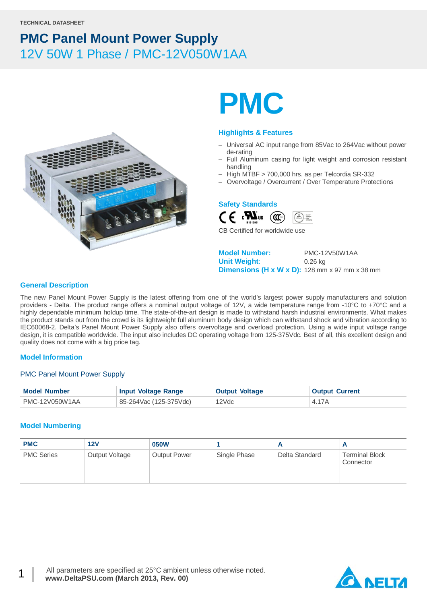

# **PMC**

#### **Highlights & Features**

- Universal AC input range from 85Vac to 264Vac without power de-rating
- Full Aluminum casing for light weight and corrosion resistant handling
- High MTBF > 700,000 hrs. as per Telcordia SR-332
- Overvoltage / Overcurrent / Over Temperature Protections



CB Certified for worldwide use

**Model Number:** PMC-12V50W1AA **Unit Weight**: 0.26 kg **Dimensions (H x W x D):** 128 mm x 97 mm x 38 mm

#### **General Description**

The new Panel Mount Power Supply is the latest offering from one of the world's largest power supply manufacturers and solution providers - Delta. The product range offers a nominal output voltage of 12V, a wide temperature range from -10°C to +70°C and a highly dependable minimum holdup time. The state-of-the-art design is made to withstand harsh industrial environments. What makes the product stands out from the crowd is its lightweight full aluminum body design which can withstand shock and vibration according to IEC60068-2. Delta's Panel Mount Power Supply also offers overvoltage and overload protection. Using a wide input voltage range design, it is compatible worldwide. The input also includes DC operating voltage from 125-375Vdc. Best of all, this excellent design and quality does not come with a big price tag.

#### **Model Information**

#### PMC Panel Mount Power Supply

| <b>Model Number</b> | <b>Input Voltage Range</b> | <b>Output Voltage</b> | <b>Output Current</b> |
|---------------------|----------------------------|-----------------------|-----------------------|
| PMC-12V050W1AA      | 85-264Vac (125-375Vdc)     | 12Vdc                 | 4.17A                 |

#### **Model Numbering**

| <b>PMC</b>        | 12V            | 050W                |              | Ē              |                                    |
|-------------------|----------------|---------------------|--------------|----------------|------------------------------------|
| <b>PMC Series</b> | Output Voltage | <b>Output Power</b> | Single Phase | Delta Standard | <b>Terminal Block</b><br>Connector |

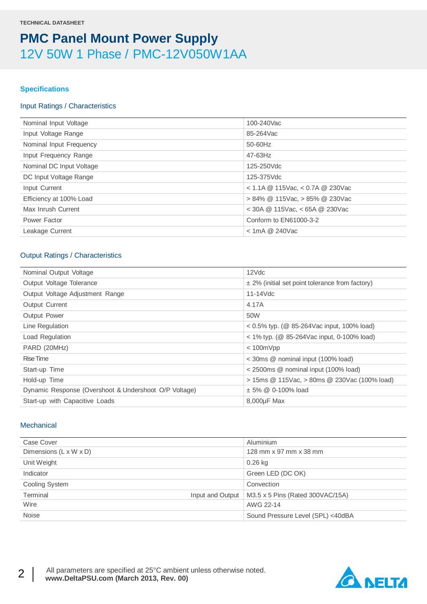#### **Specifications**

#### Input Ratings / Characteristics

| Nominal Input Voltage    | 100-240Vac                           |
|--------------------------|--------------------------------------|
| Input Voltage Range      | 85-264Vac                            |
| Nominal Input Frequency  | $50-60$ Hz                           |
| Input Frequency Range    | 47-63Hz                              |
| Nominal DC Input Voltage | 125-250Vdc                           |
| DC Input Voltage Range   | 125-375Vdc                           |
| Input Current            | $<$ 1.1A @ 115Vac, $<$ 0.7A @ 230Vac |
| Efficiency at 100% Load  | $> 84\%$ @ 115Vac, $> 85\%$ @ 230Vac |
| Max Inrush Current       | $<$ 30A @ 115Vac, $<$ 65A @ 230Vac   |
| Power Factor             | Conform to EN61000-3-2               |
| Leakage Current          | $<$ 1mA @ 240Vac                     |
|                          |                                      |

### Output Ratings / Characteristics

| Nominal Output Voltage                                | 12Vdc                                               |
|-------------------------------------------------------|-----------------------------------------------------|
| Output Voltage Tolerance                              | $\pm$ 2% (initial set point tolerance from factory) |
| Output Voltage Adjustment Range                       | $11-14$ Vdc                                         |
| Output Current                                        | 4.17A                                               |
| <b>Output Power</b>                                   | 50W                                                 |
| Line Regulation                                       | < $0.5\%$ typ. ( $@$ 85-264Vac input, 100% load)    |
| Load Regulation                                       | $<$ 1% typ. (@ 85-264Vac input, 0-100% load)        |
| PARD (20MHz)                                          | $<$ 100 $mV$ pp                                     |
| Rise Time                                             | < 30ms @ nominal input (100% load)                  |
| Start-up Time                                         | $<$ 2500ms $\circledR$ nominal input (100% load)    |
| Hold-up Time                                          | $>$ 15ms @ 115Vac, $>$ 80ms @ 230Vac (100% load)    |
| Dynamic Response (Overshoot & Undershoot O/P Voltage) | $\pm$ 5% @ 0-100% load                              |
| Start-up with Capacitive Loads                        | 8,000µF Max                                         |

#### **Mechanical**

| Case Cover                         | Aluminium                                            |
|------------------------------------|------------------------------------------------------|
| Dimensions $(L \times W \times D)$ | 128 mm x 97 mm x 38 mm                               |
| Unit Weight                        | $0.26$ kg                                            |
| Indicator                          | Green LED (DC OK)                                    |
| Cooling System                     | Convection                                           |
| Terminal                           | M3.5 x 5 Pins (Rated 300VAC/15A)<br>Input and Output |
| Wire                               | AWG 22-14                                            |
| <b>Noise</b>                       | Sound Pressure Level (SPL) <40dBA                    |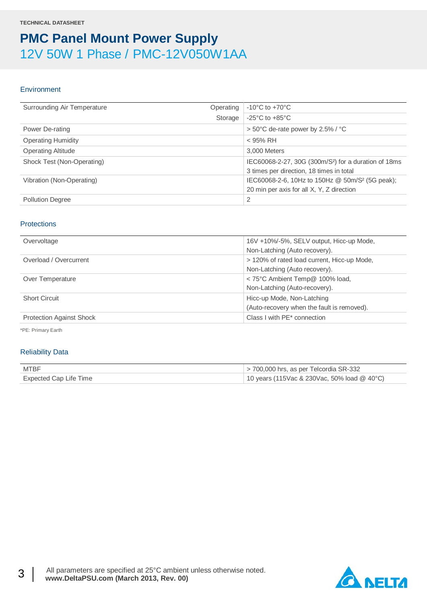#### **Environment**

| Surrounding Air Temperature<br>Operating | $-10^{\circ}$ C to $+70^{\circ}$ C                               |
|------------------------------------------|------------------------------------------------------------------|
| Storage                                  | $-25^{\circ}$ C to $+85^{\circ}$ C                               |
| Power De-rating                          | > 50°C de-rate power by 2.5% / °C                                |
| <b>Operating Humidity</b>                | $<$ 95% RH                                                       |
| <b>Operating Altitude</b>                | 3.000 Meters                                                     |
| Shock Test (Non-Operating)               | IEC60068-2-27, 30G (300m/S <sup>2</sup> ) for a duration of 18ms |
|                                          | 3 times per direction, 18 times in total                         |
| Vibration (Non-Operating)                | IEC60068-2-6, 10Hz to 150Hz @ 50m/S <sup>2</sup> (5G peak);      |
|                                          | 20 min per axis for all X, Y, Z direction                        |
| <b>Pollution Degree</b>                  | 2                                                                |
|                                          |                                                                  |

#### **Protections**

| Overvoltage                     | 16V +10%/-5%, SELV output, Hicc-up Mode,<br>Non-Latching (Auto recovery). |
|---------------------------------|---------------------------------------------------------------------------|
| Overload / Overcurrent          | > 120% of rated load current, Hicc-up Mode,                               |
|                                 | Non-Latching (Auto recovery).                                             |
| Over Temperature                | < 75°C Ambient Temp@ 100% load,                                           |
|                                 | Non-Latching (Auto-recovery).                                             |
| <b>Short Circuit</b>            | Hicc-up Mode, Non-Latching                                                |
|                                 | (Auto-recovery when the fault is removed).                                |
| <b>Protection Against Shock</b> | Class I with PE* connection                                               |
|                                 |                                                                           |

\*PE: Primary Earth

#### Reliability Data

| MTBF                   | $>$ 700,000 hrs, as per Telcordia SR-332    |
|------------------------|---------------------------------------------|
| Expected Cap Life Time | 10 years (115Vac & 230Vac, 50% load @ 40°C) |

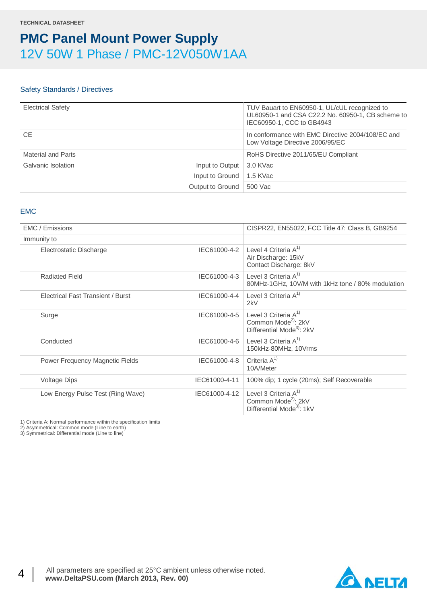#### Safety Standards / Directives

| <b>Electrical Safety</b> |                            | TUV Bauart to EN60950-1, UL/cUL recognized to<br>UL60950-1 and CSA C22.2 No. 60950-1, CB scheme to<br>IEC60950-1, CCC to GB4943 |
|--------------------------|----------------------------|---------------------------------------------------------------------------------------------------------------------------------|
| <b>CE</b>                |                            | In conformance with EMC Directive 2004/108/EC and<br>Low Voltage Directive 2006/95/EC                                           |
| Material and Parts       |                            | RoHS Directive 2011/65/EU Compliant                                                                                             |
| Galvanic Isolation       | Input to Output 3.0 KVac   |                                                                                                                                 |
|                          | Input to Ground   1.5 KVac |                                                                                                                                 |
|                          | Output to Ground           | 500 Vac                                                                                                                         |

#### EMC

| EMC / Emissions                   |               | CISPR22, EN55022, FCC Title 47: Class B, GB9254                                                     |
|-----------------------------------|---------------|-----------------------------------------------------------------------------------------------------|
| Immunity to                       |               |                                                                                                     |
| Electrostatic Discharge           | IEC61000-4-2  | Level 4 Criteria $A^{1}$<br>Air Discharge: 15kV<br>Contact Discharge: 8kV                           |
| <b>Radiated Field</b>             | IEC61000-4-3  | Level 3 Criteria $A^{(1)}$<br>80MHz-1GHz, 10V/M with 1kHz tone / 80% modulation                     |
| Electrical Fast Transient / Burst | IEC61000-4-4  | Level 3 Criteria $A^{1}$<br>2kV                                                                     |
| Surge                             | IEC61000-4-5  | Level 3 Criteria $A^{1}$<br>Common Mode <sup>2)</sup> : 2kV<br>Differential Mode <sup>3</sup> : 2kV |
| Conducted                         | IEC61000-4-6  | Level 3 Criteria $A^{1}$<br>150kHz-80MHz, 10Vrms                                                    |
| Power Frequency Magnetic Fields   | IEC61000-4-8  | Criteria $A^{1}$<br>10A/Meter                                                                       |
| <b>Voltage Dips</b>               | IEC61000-4-11 | 100% dip; 1 cycle (20ms); Self Recoverable                                                          |
| Low Energy Pulse Test (Ring Wave) | IEC61000-4-12 | Level 3 Criteria $A^{1}$<br>Common Mode <sup>2)</sup> : 2kV<br>Differential Mode <sup>3</sup> : 1kV |

1) Criteria A: Normal performance within the specification limits

2) Asymmetrical: Common mode (Line to earth) 3) Symmetrical: Differential mode (Line to line)

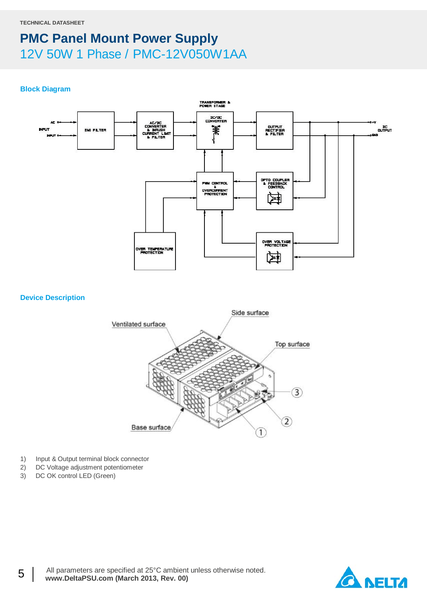#### **Block Diagram**



#### **Device Description**



- 1) Input & Output terminal block connector
- 2) DC Voltage adjustment potentiometer
- 3) DC OK control LED (Green)

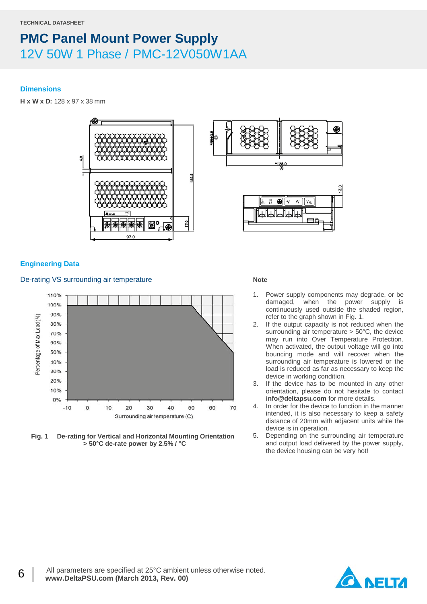#### **Dimensions**

**H x W x D:** 128 x 97 x 38 mm





#### **Engineering Data**

#### De-rating VS surrounding air temperature



**Fig. 1 De-rating for Vertical and Horizontal Mounting Orientation > 50°C de-rate power by 2.5% / °C**

#### **Note**

- 1. Power supply components may degrade, or be damaged, when the power supply continuously used outside the shaded region, refer to the graph shown in Fig. 1.
- 2. If the output capacity is not reduced when the surrounding air temperature > 50°C, the device may run into Over Temperature Protection. When activated, the output voltage will go into bouncing mode and will recover when the surrounding air temperature is lowered or the load is reduced as far as necessary to keep the device in working condition.
- 3. If the device has to be mounted in any other orientation, please do not hesitate to contact **info@deltapsu.com** for more details.
- 4. In order for the device to function in the manner intended, it is also necessary to keep a safety distance of 20mm with adjacent units while the device is in operation.
- 5. Depending on the surrounding air temperature and output load delivered by the power supply, the device housing can be very hot!

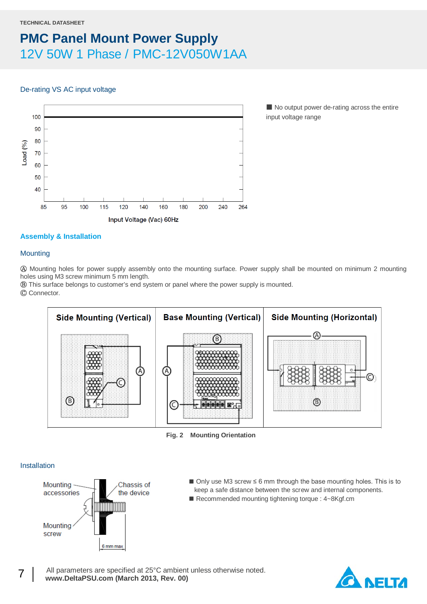#### De-rating VS AC input voltage



■ No output power de-rating across the entire input voltage range

#### **Assembly & Installation**

#### **Mounting**

Ⓐ Mounting holes for power supply assembly onto the mounting surface. Power supply shall be mounted on minimum 2 mounting holes using M3 screw minimum 5 mm length.

Ⓑ This surface belongs to customer's end system or panel where the power supply is mounted.

Ⓒ Connector.



**Fig. 2 Mounting Orientation**

#### Installation



- Only use M3 screw ≤ 6 mm through the base mounting holes. This is to keep a safe distance between the screw and internal components.
- Recommended mounting tightening torque : 4~8Kgf.cm

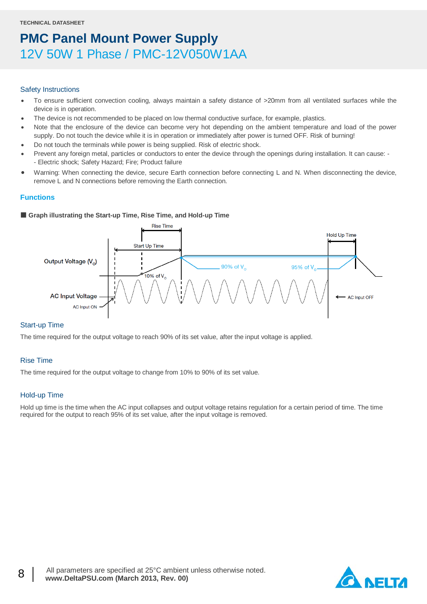#### Safety Instructions

- To ensure sufficient convection cooling, always maintain a safety distance of >20mm from all ventilated surfaces while the device is in operation.
- The device is not recommended to be placed on low thermal conductive surface, for example, plastics.
- Note that the enclosure of the device can become very hot depending on the ambient temperature and load of the power supply. Do not touch the device while it is in operation or immediately after power is turned OFF. Risk of burning!
- Do not touch the terminals while power is being supplied. Risk of electric shock.
- Prevent any foreign metal, particles or conductors to enter the device through the openings during installation. It can cause: - Electric shock; Safety Hazard; Fire; Product failure
- Warning: When connecting the device, secure Earth connection before connecting L and N. When disconnecting the device, remove L and N connections before removing the Earth connection.

#### **Functions**

#### ■ Graph illustrating the Start-up Time, Rise Time, and Hold-up Time



#### Start-up Time

The time required for the output voltage to reach 90% of its set value, after the input voltage is applied.

#### Rise Time

The time required for the output voltage to change from 10% to 90% of its set value.

#### Hold-up Time

Hold up time is the time when the AC input collapses and output voltage retains regulation for a certain period of time. The time required for the output to reach 95% of its set value, after the input voltage is removed.



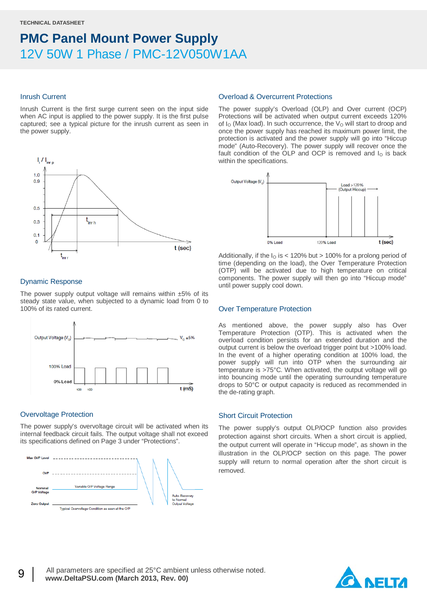#### Inrush Current

Inrush Current is the first surge current seen on the input side when AC input is applied to the power supply. It is the first pulse captured; see a typical picture for the inrush current as seen in the power supply.



#### Dynamic Response

The power supply output voltage will remains within  $±5\%$  of its steady state value, when subjected to a dynamic load from 0 to 100% of its rated current.



#### Overvoltage Protection

The power supply's overvoltage circuit will be activated when its internal feedback circuit fails. The output voltage shall not exceed its specifications defined on Page 3 under "Protections".



#### Overload & Overcurrent Protections

The power supply's Overload (OLP) and Over current (OCP) Protections will be activated when output current exceeds 120% of  $I<sub>O</sub>$  (Max load). In such occurrence, the  $V<sub>O</sub>$  will start to droop and once the power supply has reached its maximum power limit, the protection is activated and the power supply will go into "Hiccup mode" (Auto-Recovery). The power supply will recover once the fault condition of the OLP and OCP is removed and  $I<sub>O</sub>$  is back within the specifications.



Additionally, if the  $I<sub>0</sub>$  is < 120% but > 100% for a prolong period of time (depending on the load), the Over Temperature Protection (OTP) will be activated due to high temperature on critical components. The power supply will then go into "Hiccup mode" until power supply cool down.

#### Over Temperature Protection

As mentioned above, the power supply also has Over Temperature Protection (OTP). This is activated when the overload condition persists for an extended duration and the output current is below the overload trigger point but >100% load. In the event of a higher operating condition at 100% load, the power supply will run into OTP when the surrounding air temperature is >75°C. When activated, the output voltage will go into bouncing mode until the operating surrounding temperature drops to 50°C or output capacity is reduced as recommended in the de-rating graph.

#### Short Circuit Protection

The power supply's output OLP/OCP function also provides protection against short circuits. When a short circuit is applied, the output current will operate in "Hiccup mode", as shown in the illustration in the OLP/OCP section on this page. The power supply will return to normal operation after the short circuit is removed.